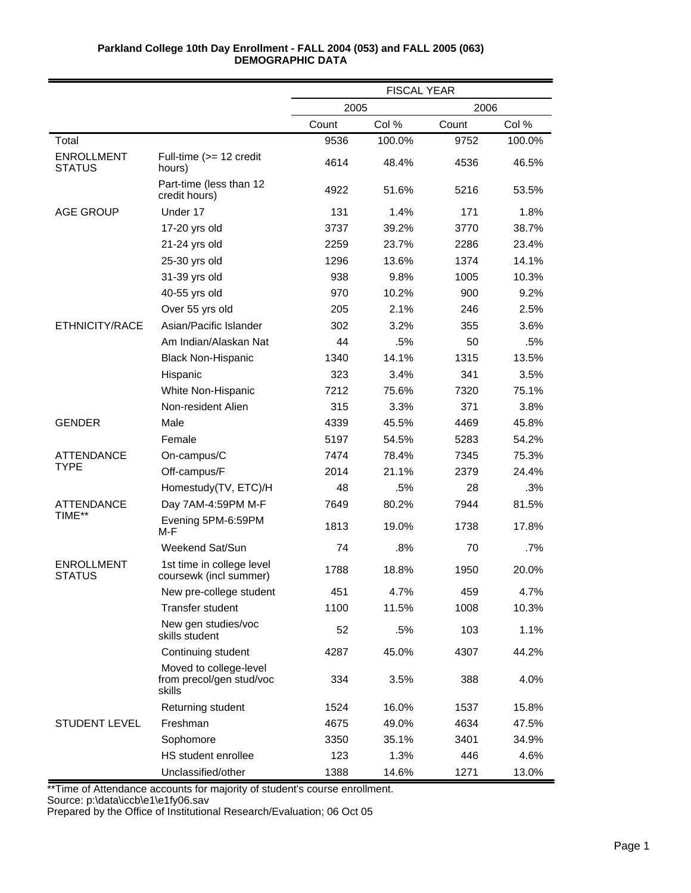|                                    |                                                              | <b>FISCAL YEAR</b> |        |       |        |
|------------------------------------|--------------------------------------------------------------|--------------------|--------|-------|--------|
|                                    |                                                              | 2005               |        | 2006  |        |
|                                    |                                                              | Count              | Col %  | Count | Col %  |
| Total                              |                                                              | 9536               | 100.0% | 9752  | 100.0% |
| <b>ENROLLMENT</b><br><b>STATUS</b> | Full-time (>= 12 credit<br>hours)                            | 4614               | 48.4%  | 4536  | 46.5%  |
|                                    | Part-time (less than 12<br>credit hours)                     | 4922               | 51.6%  | 5216  | 53.5%  |
| <b>AGE GROUP</b>                   | Under 17                                                     | 131                | 1.4%   | 171   | 1.8%   |
|                                    | 17-20 yrs old                                                | 3737               | 39.2%  | 3770  | 38.7%  |
|                                    | 21-24 yrs old                                                | 2259               | 23.7%  | 2286  | 23.4%  |
|                                    | 25-30 yrs old                                                | 1296               | 13.6%  | 1374  | 14.1%  |
|                                    | 31-39 yrs old                                                | 938                | 9.8%   | 1005  | 10.3%  |
|                                    | 40-55 yrs old                                                | 970                | 10.2%  | 900   | 9.2%   |
|                                    | Over 55 yrs old                                              | 205                | 2.1%   | 246   | 2.5%   |
| ETHNICITY/RACE                     | Asian/Pacific Islander                                       | 302                | 3.2%   | 355   | 3.6%   |
|                                    | Am Indian/Alaskan Nat                                        | 44                 | .5%    | 50    | .5%    |
|                                    | <b>Black Non-Hispanic</b>                                    | 1340               | 14.1%  | 1315  | 13.5%  |
|                                    | Hispanic                                                     | 323                | 3.4%   | 341   | 3.5%   |
|                                    | White Non-Hispanic                                           | 7212               | 75.6%  | 7320  | 75.1%  |
|                                    | Non-resident Alien                                           | 315                | 3.3%   | 371   | 3.8%   |
| <b>GENDER</b>                      | Male                                                         | 4339               | 45.5%  | 4469  | 45.8%  |
|                                    | Female                                                       | 5197               | 54.5%  | 5283  | 54.2%  |
| <b>ATTENDANCE</b>                  | On-campus/C                                                  | 7474               | 78.4%  | 7345  | 75.3%  |
| <b>TYPE</b>                        | Off-campus/F                                                 | 2014               | 21.1%  | 2379  | 24.4%  |
|                                    | Homestudy(TV, ETC)/H                                         | 48                 | .5%    | 28    | .3%    |
| ATTENDANCE                         | Day 7AM-4:59PM M-F                                           | 7649               | 80.2%  | 7944  | 81.5%  |
| TIME**                             | Evening 5PM-6:59PM<br>M-F                                    | 1813               | 19.0%  | 1738  | 17.8%  |
|                                    | Weekend Sat/Sun                                              | 74                 | .8%    | 70    | .7%    |
| <b>ENROLLMENT</b><br><b>STATUS</b> | 1st time in college level<br>coursewk (incl summer)          | 1788               | 18.8%  | 1950  | 20.0%  |
|                                    | New pre-college student                                      | 451                | 4.7%   | 459   | 4.7%   |
|                                    | <b>Transfer student</b>                                      | 1100               | 11.5%  | 1008  | 10.3%  |
|                                    | New gen studies/voc<br>skills student                        | 52                 | .5%    | 103   | 1.1%   |
|                                    | Continuing student                                           | 4287               | 45.0%  | 4307  | 44.2%  |
|                                    | Moved to college-level<br>from precol/gen stud/voc<br>skills | 334                | 3.5%   | 388   | 4.0%   |
|                                    | Returning student                                            | 1524               | 16.0%  | 1537  | 15.8%  |
| STUDENT LEVEL                      | Freshman                                                     | 4675               | 49.0%  | 4634  | 47.5%  |
|                                    | Sophomore                                                    | 3350               | 35.1%  | 3401  | 34.9%  |
|                                    | HS student enrollee                                          | 123                | 1.3%   | 446   | 4.6%   |
|                                    | Unclassified/other                                           | 1388               | 14.6%  | 1271  | 13.0%  |

\*\*Time of Attendance accounts for majority of student's course enrollment.

Source: p:\data\iccb\e1\e1fy06.sav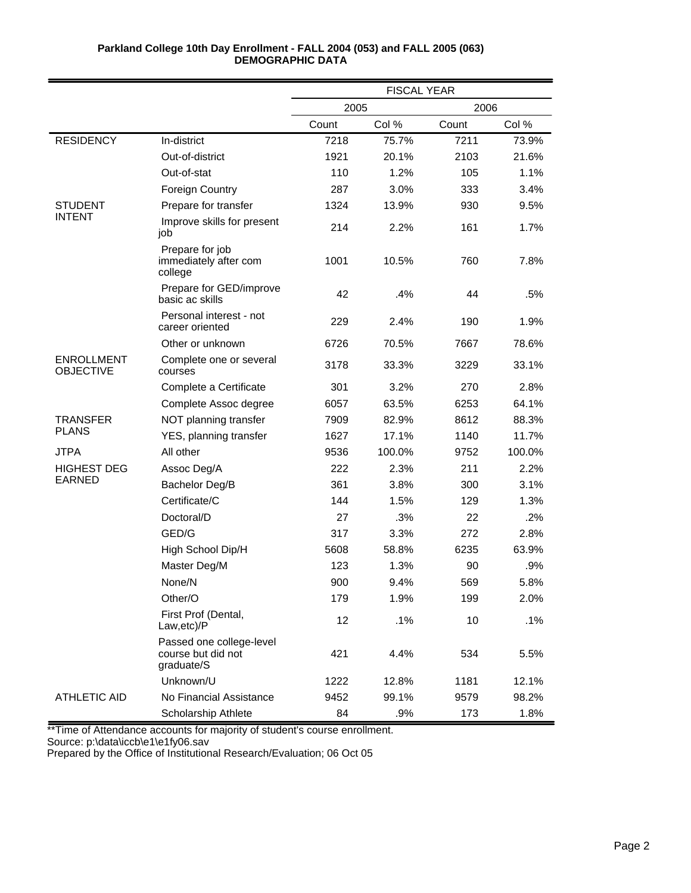|                                       |                                                              | <b>FISCAL YEAR</b> |        |       |        |
|---------------------------------------|--------------------------------------------------------------|--------------------|--------|-------|--------|
|                                       |                                                              | 2005               |        | 2006  |        |
|                                       |                                                              | Count              | Col %  | Count | Col %  |
| <b>RESIDENCY</b>                      | In-district                                                  | 7218               | 75.7%  | 7211  | 73.9%  |
|                                       | Out-of-district                                              | 1921               | 20.1%  | 2103  | 21.6%  |
|                                       | Out-of-stat                                                  | 110                | 1.2%   | 105   | 1.1%   |
|                                       | <b>Foreign Country</b>                                       | 287                | 3.0%   | 333   | 3.4%   |
| <b>STUDENT</b>                        | Prepare for transfer                                         | 1324               | 13.9%  | 930   | 9.5%   |
| <b>INTENT</b>                         | Improve skills for present<br>job                            | 214                | 2.2%   | 161   | 1.7%   |
|                                       | Prepare for job<br>immediately after com<br>college          | 1001               | 10.5%  | 760   | 7.8%   |
|                                       | Prepare for GED/improve<br>basic ac skills                   | 42                 | .4%    | 44    | .5%    |
|                                       | Personal interest - not<br>career oriented                   | 229                | 2.4%   | 190   | 1.9%   |
|                                       | Other or unknown                                             | 6726               | 70.5%  | 7667  | 78.6%  |
| <b>ENROLLMENT</b><br><b>OBJECTIVE</b> | Complete one or several<br>courses                           | 3178               | 33.3%  | 3229  | 33.1%  |
|                                       | Complete a Certificate                                       | 301                | 3.2%   | 270   | 2.8%   |
|                                       | Complete Assoc degree                                        | 6057               | 63.5%  | 6253  | 64.1%  |
| <b>TRANSFER</b>                       | NOT planning transfer                                        | 7909               | 82.9%  | 8612  | 88.3%  |
| <b>PLANS</b>                          | YES, planning transfer                                       | 1627               | 17.1%  | 1140  | 11.7%  |
| <b>JTPA</b>                           | All other                                                    | 9536               | 100.0% | 9752  | 100.0% |
| <b>HIGHEST DEG</b>                    | Assoc Deg/A                                                  | 222                | 2.3%   | 211   | 2.2%   |
| <b>EARNED</b>                         | Bachelor Deg/B                                               | 361                | 3.8%   | 300   | 3.1%   |
|                                       | Certificate/C                                                | 144                | 1.5%   | 129   | 1.3%   |
|                                       | Doctoral/D                                                   | 27                 | .3%    | 22    | .2%    |
|                                       | GED/G                                                        | 317                | 3.3%   | 272   | 2.8%   |
|                                       | High School Dip/H                                            | 5608               | 58.8%  | 6235  | 63.9%  |
|                                       | Master Deg/M                                                 | 123                | 1.3%   | 90    | .9%    |
|                                       | None/N                                                       | 900                | 9.4%   | 569   | 5.8%   |
|                                       | Other/O                                                      | 179                | 1.9%   | 199   | 2.0%   |
|                                       | First Prof (Dental,<br>Law,etc)/P                            | 12                 | .1%    | 10    | .1%    |
|                                       | Passed one college-level<br>course but did not<br>graduate/S | 421                | 4.4%   | 534   | 5.5%   |
|                                       | Unknown/U                                                    | 1222               | 12.8%  | 1181  | 12.1%  |
| <b>ATHLETIC AID</b>                   | No Financial Assistance                                      | 9452               | 99.1%  | 9579  | 98.2%  |
|                                       | Scholarship Athlete                                          | 84                 | .9%    | 173   | 1.8%   |

\*\*Time of Attendance accounts for majority of student's course enrollment.

Source: p:\data\iccb\e1\e1fy06.sav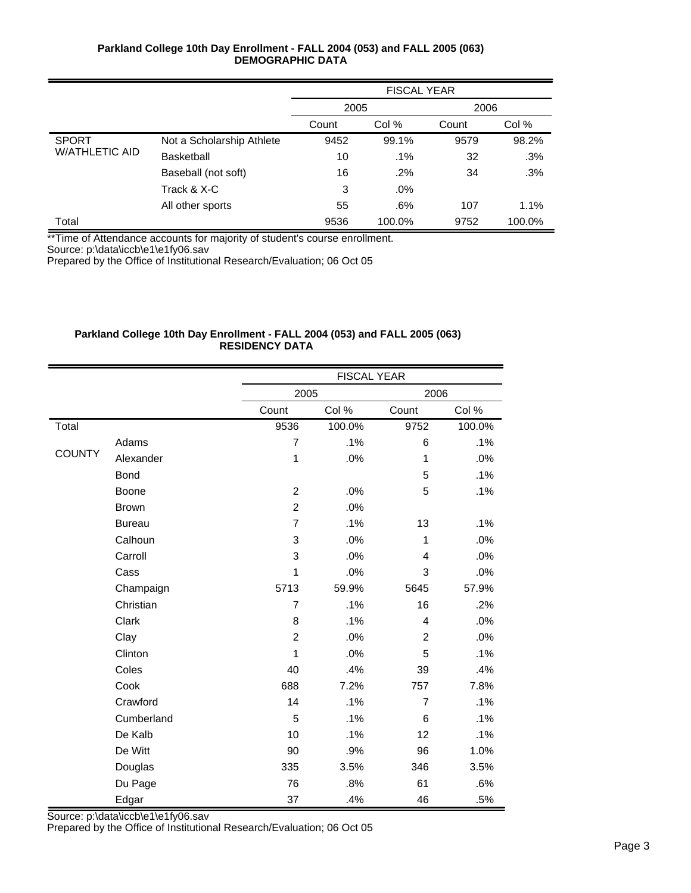|                       |                           | <b>FISCAL YEAR</b> |        |       |        |  |
|-----------------------|---------------------------|--------------------|--------|-------|--------|--|
|                       |                           | 2005               |        | 2006  |        |  |
|                       |                           | Count              | Col %  | Count | Col %  |  |
| <b>SPORT</b>          | Not a Scholarship Athlete | 9452               | 99.1%  | 9579  | 98.2%  |  |
| <b>W/ATHLETIC AID</b> | <b>Basketball</b>         | 10                 | $.1\%$ | 32    | .3%    |  |
|                       | Baseball (not soft)       | 16                 | $.2\%$ | 34    | .3%    |  |
|                       | Track & X-C               | 3                  | $.0\%$ |       |        |  |
|                       | All other sports          | 55                 | $.6\%$ | 107   | 1.1%   |  |
| Total                 |                           | 9536               | 100.0% | 9752  | 100.0% |  |

\*\*Time of Attendance accounts for majority of student's course enrollment.

Source: p:\data\iccb\e1\e1fy06.sav

Prepared by the Office of Institutional Research/Evaluation; 06 Oct 05

## **Parkland College 10th Day Enrollment - FALL 2004 (053) and FALL 2005 (063) RESIDENCY DATA**

|               |               | <b>FISCAL YEAR</b> |        |                |        |
|---------------|---------------|--------------------|--------|----------------|--------|
|               |               | 2005               |        | 2006           |        |
|               |               | Count              | Col %  | Count          | Col %  |
| Total         |               | 9536               | 100.0% | 9752           | 100.0% |
|               | Adams         | $\overline{7}$     | .1%    | 6              | .1%    |
| <b>COUNTY</b> | Alexander     | 1                  | .0%    | 1              | .0%    |
|               | <b>Bond</b>   |                    |        | 5              | .1%    |
|               | <b>Boone</b>  | $\overline{c}$     | .0%    | 5              | .1%    |
|               | <b>Brown</b>  | $\overline{2}$     | .0%    |                |        |
|               | <b>Bureau</b> | $\overline{7}$     | .1%    | 13             | .1%    |
|               | Calhoun       | 3                  | .0%    | $\mathbf{1}$   | .0%    |
|               | Carroll       | 3                  | .0%    | 4              | .0%    |
|               | Cass          | 1                  | .0%    | 3              | .0%    |
|               | Champaign     | 5713               | 59.9%  | 5645           | 57.9%  |
|               | Christian     | $\overline{7}$     | .1%    | 16             | .2%    |
|               | Clark         | 8                  | .1%    | 4              | .0%    |
|               | Clay          | $\overline{c}$     | .0%    | $\overline{c}$ | .0%    |
|               | Clinton       | 1                  | .0%    | 5              | .1%    |
|               | Coles         | 40                 | .4%    | 39             | .4%    |
|               | Cook          | 688                | 7.2%   | 757            | 7.8%   |
|               | Crawford      | 14                 | .1%    | $\overline{7}$ | .1%    |
|               | Cumberland    | 5                  | .1%    | 6              | .1%    |
|               | De Kalb       | 10                 | .1%    | 12             | .1%    |
|               | De Witt       | 90                 | .9%    | 96             | 1.0%   |
|               | Douglas       | 335                | 3.5%   | 346            | 3.5%   |
|               | Du Page       | 76                 | .8%    | 61             | .6%    |
|               | Edgar         | 37                 | .4%    | 46             | .5%    |

Source: p:\data\iccb\e1\e1fy06.sav Prepared by the Office of Institutional Research/Evaluation; 06 Oct 05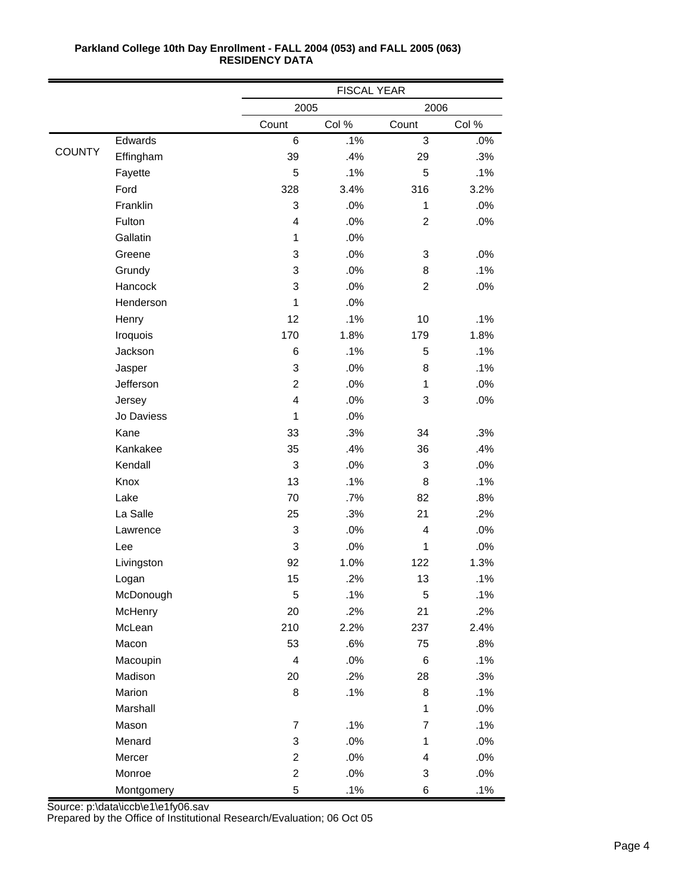|               |            |                         | <b>FISCAL YEAR</b> |                |       |  |
|---------------|------------|-------------------------|--------------------|----------------|-------|--|
|               |            | 2005                    |                    | 2006           |       |  |
|               |            | Count                   | Col %              | Count          | Col % |  |
|               | Edwards    | $\,6$                   | .1%                | $\overline{3}$ | .0%   |  |
| <b>COUNTY</b> | Effingham  | 39                      | .4%                | 29             | .3%   |  |
|               | Fayette    | 5                       | .1%                | 5              | .1%   |  |
|               | Ford       | 328                     | 3.4%               | 316            | 3.2%  |  |
|               | Franklin   | $\mathbf{3}$            | .0%                | $\mathbf{1}$   | .0%   |  |
|               | Fulton     | 4                       | .0%                | $\overline{c}$ | .0%   |  |
|               | Gallatin   | 1                       | .0%                |                |       |  |
|               | Greene     | 3                       | .0%                | 3              | .0%   |  |
|               | Grundy     | 3                       | .0%                | 8              | .1%   |  |
|               | Hancock    | 3                       | .0%                | $\overline{c}$ | .0%   |  |
|               | Henderson  | 1                       | .0%                |                |       |  |
|               | Henry      | 12                      | .1%                | 10             | .1%   |  |
|               | Iroquois   | 170                     | 1.8%               | 179            | 1.8%  |  |
|               | Jackson    | 6                       | .1%                | 5              | .1%   |  |
|               | Jasper     | $\mathbf{3}$            | .0%                | 8              | .1%   |  |
|               | Jefferson  | $\overline{c}$          | .0%                | $\mathbf{1}$   | .0%   |  |
|               | Jersey     | 4                       | .0%                | 3              | .0%   |  |
|               | Jo Daviess | 1                       | .0%                |                |       |  |
|               | Kane       | 33                      | .3%                | 34             | .3%   |  |
|               | Kankakee   | 35                      | .4%                | 36             | .4%   |  |
|               | Kendall    | $\mathbf{3}$            | .0%                | 3              | .0%   |  |
|               | Knox       | 13                      | .1%                | 8              | .1%   |  |
|               | Lake       | 70                      | .7%                | 82             | .8%   |  |
|               | La Salle   | 25                      | .3%                | 21             | .2%   |  |
|               | Lawrence   | 3                       | .0%                | 4              | .0%   |  |
|               | Lee        | $\mathbf{3}$            | .0%                | $\mathbf{1}$   | .0%   |  |
|               | Livingston | 92                      | 1.0%               | 122            | 1.3%  |  |
|               | Logan      | 15                      | .2%                | 13             | .1%   |  |
|               | McDonough  | 5                       | .1%                | 5              | .1%   |  |
|               | McHenry    | 20                      | .2%                | 21             | .2%   |  |
|               | McLean     | 210                     | 2.2%               | 237            | 2.4%  |  |
|               | Macon      | 53                      | .6%                | 75             | .8%   |  |
|               | Macoupin   | $\overline{\mathbf{4}}$ | $.0\%$             | 6              | .1%   |  |
|               | Madison    | 20                      | .2%                | 28             | .3%   |  |
|               | Marion     | 8                       | .1%                | 8              | .1%   |  |
|               | Marshall   |                         |                    | $\mathbf{1}$   | .0%   |  |
|               | Mason      | $\overline{7}$          | .1%                | $\overline{7}$ | .1%   |  |
|               | Menard     | $\sqrt{3}$              | $.0\%$             | $\mathbf{1}$   | .0%   |  |
|               | Mercer     | $\overline{2}$          | .0%                | 4              | .0%   |  |
|               | Monroe     | $\overline{2}$          | $.0\%$             | 3              | .0%   |  |
|               | Montgomery | $\mathbf 5$             | .1%                | 6              | .1%   |  |

Source: p:\data\iccb\e1\e1fy06.sav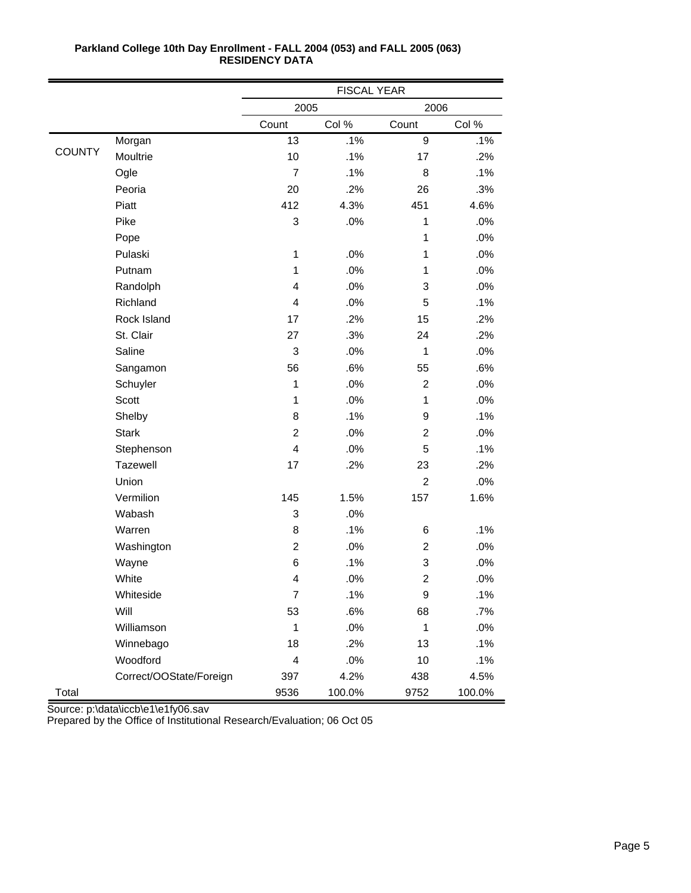|               |                         | <b>FISCAL YEAR</b>       |        |                         |        |
|---------------|-------------------------|--------------------------|--------|-------------------------|--------|
|               |                         | 2005                     |        | 2006                    |        |
|               |                         | Count                    | Col %  | Count                   | Col %  |
|               | Morgan                  | 13                       | .1%    | $\overline{9}$          | .1%    |
| <b>COUNTY</b> | Moultrie                | 10                       | .1%    | 17                      | .2%    |
|               | Ogle                    | $\overline{7}$           | .1%    | 8                       | .1%    |
|               | Peoria                  | 20                       | .2%    | 26                      | .3%    |
|               | Piatt                   | 412                      | 4.3%   | 451                     | 4.6%   |
|               | Pike                    | 3                        | .0%    | $\mathbf{1}$            | .0%    |
|               | Pope                    |                          |        | 1                       | .0%    |
|               | Pulaski                 | 1                        | .0%    | 1                       | .0%    |
|               | Putnam                  | 1                        | .0%    | $\mathbf{1}$            | .0%    |
|               | Randolph                | 4                        | .0%    | 3                       | .0%    |
|               | Richland                | $\overline{\mathbf{4}}$  | .0%    | 5                       | .1%    |
|               | Rock Island             | 17                       | .2%    | 15                      | .2%    |
|               | St. Clair               | 27                       | .3%    | 24                      | .2%    |
|               | Saline                  | 3                        | .0%    | $\mathbf{1}$            | .0%    |
|               | Sangamon                | 56                       | .6%    | 55                      | .6%    |
|               | Schuyler                | 1                        | .0%    | $\overline{2}$          | .0%    |
|               | <b>Scott</b>            | 1                        | .0%    | $\mathbf{1}$            | .0%    |
|               | Shelby                  | 8                        | .1%    | 9                       | .1%    |
|               | <b>Stark</b>            | $\overline{c}$           | .0%    | $\overline{c}$          | .0%    |
|               | Stephenson              | 4                        | .0%    | 5                       | .1%    |
|               | Tazewell                | 17                       | .2%    | 23                      | .2%    |
|               | Union                   |                          |        | $\overline{2}$          | .0%    |
|               | Vermilion               | 145                      | 1.5%   | 157                     | 1.6%   |
|               | Wabash                  | 3                        | .0%    |                         |        |
|               | Warren                  | 8                        | .1%    | 6                       | .1%    |
|               | Washington              | $\overline{2}$           | .0%    | $\overline{c}$          | .0%    |
|               | Wayne                   | 6                        | .1%    | 3                       | .0%    |
|               | White                   | 4                        | .0%    | $\overline{\mathbf{c}}$ | .0%    |
|               | Whiteside               | $\overline{7}$           | .1%    | 9                       | .1%    |
|               | Will                    | 53                       | .6%    | 68                      | .7%    |
|               | Williamson              | 1                        | .0%    | $\mathbf{1}$            | .0%    |
|               | Winnebago               | 18                       | .2%    | 13                      | .1%    |
|               | Woodford                | $\overline{\mathcal{L}}$ | .0%    | 10                      | .1%    |
|               | Correct/OOState/Foreign | 397                      | 4.2%   | 438                     | 4.5%   |
| Total         |                         | 9536                     | 100.0% | 9752                    | 100.0% |

Source: p:\data\iccb\e1\e1fy06.sav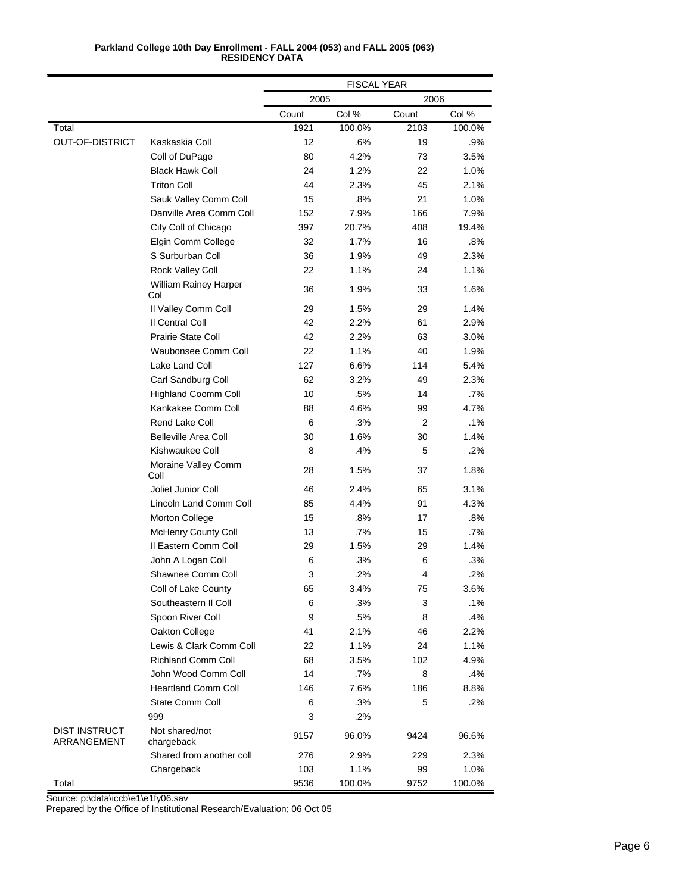|                                     |                                     | FISCAL YEAR |        |                |        |
|-------------------------------------|-------------------------------------|-------------|--------|----------------|--------|
|                                     |                                     | 2005        |        | 2006           |        |
|                                     |                                     | Count       | Col %  | Count          | Col %  |
| Total                               |                                     | 1921        | 100.0% | 2103           | 100.0% |
| <b>OUT-OF-DISTRICT</b>              | Kaskaskia Coll                      | 12          | .6%    | 19             | .9%    |
|                                     | Coll of DuPage                      | 80          | 4.2%   | 73             | 3.5%   |
|                                     | <b>Black Hawk Coll</b>              | 24          | 1.2%   | 22             | 1.0%   |
|                                     | <b>Triton Coll</b>                  | 44          | 2.3%   | 45             | 2.1%   |
|                                     | Sauk Valley Comm Coll               | 15          | .8%    | 21             | 1.0%   |
|                                     | Danville Area Comm Coll             | 152         | 7.9%   | 166            | 7.9%   |
|                                     | City Coll of Chicago                | 397         | 20.7%  | 408            | 19.4%  |
|                                     | Elgin Comm College                  | 32          | 1.7%   | 16             | .8%    |
|                                     | S Surburban Coll                    | 36          | 1.9%   | 49             | 2.3%   |
|                                     | Rock Valley Coll                    | 22          | 1.1%   | 24             | 1.1%   |
|                                     | <b>William Rainey Harper</b><br>Col | 36          | 1.9%   | 33             | 1.6%   |
|                                     | Il Valley Comm Coll                 | 29          | 1.5%   | 29             | 1.4%   |
|                                     | Il Central Coll                     | 42          | 2.2%   | 61             | 2.9%   |
|                                     | Prairie State Coll                  | 42          | 2.2%   | 63             | 3.0%   |
|                                     | Waubonsee Comm Coll                 | 22          | 1.1%   | 40             | 1.9%   |
|                                     | Lake Land Coll                      | 127         | 6.6%   | 114            | 5.4%   |
|                                     | Carl Sandburg Coll                  | 62          | 3.2%   | 49             | 2.3%   |
|                                     | <b>Highland Coomm Coll</b>          | 10          | .5%    | 14             | .7%    |
|                                     | Kankakee Comm Coll                  | 88          | 4.6%   | 99             | 4.7%   |
|                                     | <b>Rend Lake Coll</b>               | 6           | .3%    | 2              | .1%    |
|                                     | <b>Belleville Area Coll</b>         | 30          | 1.6%   | 30             | 1.4%   |
|                                     | Kishwaukee Coll                     | 8           | .4%    | 5              | .2%    |
|                                     | Moraine Valley Comm<br>Coll         | 28          | 1.5%   | 37             | 1.8%   |
|                                     | Joliet Junior Coll                  | 46          | 2.4%   | 65             | 3.1%   |
|                                     | Lincoln Land Comm Coll              | 85          | 4.4%   | 91             | 4.3%   |
|                                     | Morton College                      | 15          | .8%    | 17             | .8%    |
|                                     | <b>McHenry County Coll</b>          | 13          | .7%    | 15             | .7%    |
|                                     | Il Eastern Comm Coll                | 29          | 1.5%   | 29             | 1.4%   |
|                                     | John A Logan Coll                   | 6           | .3%    | 6              | .3%    |
|                                     | Shawnee Comm Coll                   | 3           | .2%    | $\overline{4}$ | .2%    |
|                                     | Coll of Lake County                 | 65          | 3.4%   | 75             | 3.6%   |
|                                     | Southeastern II Coll                | 6           | .3%    | 3              | .1%    |
|                                     | Spoon River Coll                    | 9           | .5%    | 8              | .4%    |
|                                     | Oakton College                      | 41          | 2.1%   | 46             | 2.2%   |
|                                     | Lewis & Clark Comm Coll             | 22          | 1.1%   | 24             | 1.1%   |
|                                     | <b>Richland Comm Coll</b>           | 68          | 3.5%   | 102            | 4.9%   |
|                                     | John Wood Comm Coll                 | 14          | $.7\%$ | 8              | .4%    |
|                                     | <b>Heartland Comm Coll</b>          | 146         | 7.6%   | 186            | 8.8%   |
|                                     | State Comm Coll                     | 6           | .3%    | 5              | .2%    |
|                                     | 999                                 | 3           | .2%    |                |        |
| <b>DIST INSTRUCT</b><br>ARRANGEMENT | Not shared/not<br>chargeback        | 9157        | 96.0%  | 9424           | 96.6%  |
|                                     | Shared from another coll            | 276         | 2.9%   | 229            | 2.3%   |
|                                     | Chargeback                          | 103         | 1.1%   | 99             | 1.0%   |
| Total                               |                                     | 9536        | 100.0% | 9752           | 100.0% |

Source: p:\data\iccb\e1\e1fy06.sav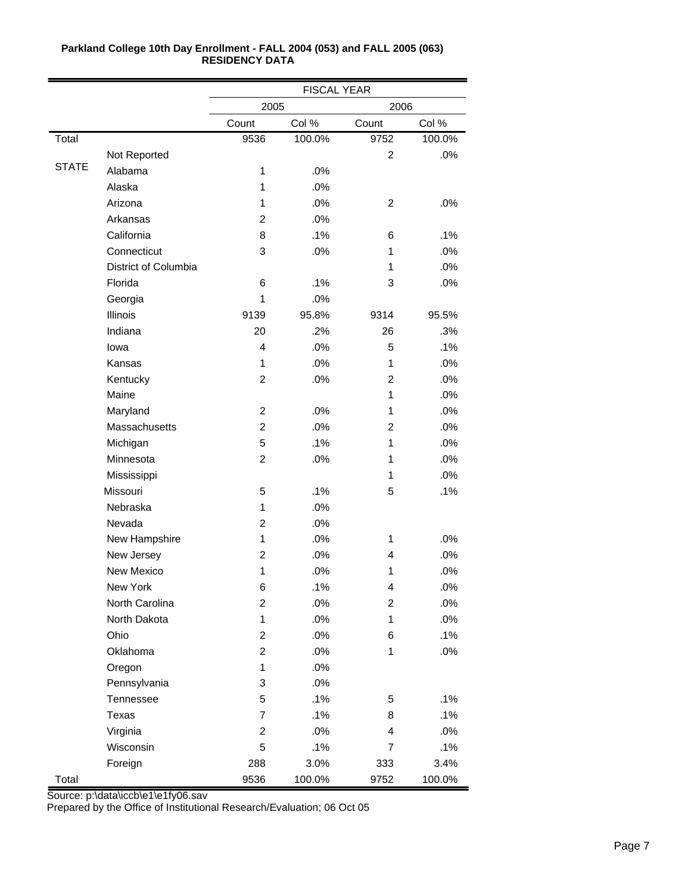|              |                      | <b>FISCAL YEAR</b>      |        |                |        |
|--------------|----------------------|-------------------------|--------|----------------|--------|
|              |                      | 2005                    |        | 2006           |        |
|              |                      | Count                   | Col %  | Count          | Col %  |
| Total        |                      | 9536                    | 100.0% | 9752           | 100.0% |
|              | Not Reported         |                         |        | 2              | .0%    |
| <b>STATE</b> | Alabama              | 1                       | .0%    |                |        |
|              | Alaska               | 1                       | .0%    |                |        |
|              | Arizona              | 1                       | .0%    | $\overline{2}$ | .0%    |
|              | Arkansas             | $\overline{c}$          | .0%    |                |        |
|              | California           | 8                       | .1%    | 6              | .1%    |
|              | Connecticut          | 3                       | .0%    | 1              | .0%    |
|              | District of Columbia |                         |        | 1              | .0%    |
|              | Florida              | 6                       | .1%    | 3              | .0%    |
|              | Georgia              | 1                       | .0%    |                |        |
|              | Illinois             | 9139                    | 95.8%  | 9314           | 95.5%  |
|              | Indiana              | 20                      | .2%    | 26             | .3%    |
|              | lowa                 | 4                       | .0%    | 5              | .1%    |
|              | Kansas               | 1                       | .0%    | 1              | .0%    |
|              | Kentucky             | $\overline{c}$          | .0%    | $\overline{2}$ | .0%    |
|              | Maine                |                         |        | 1              | .0%    |
|              | Maryland             | $\overline{2}$          | .0%    | 1              | .0%    |
|              | Massachusetts        | $\overline{c}$          | .0%    | 2              | .0%    |
|              | Michigan             | 5                       | .1%    | 1              | .0%    |
|              | Minnesota            | $\overline{c}$          | .0%    | 1              | .0%    |
|              | Mississippi          |                         |        | 1              | .0%    |
|              | Missouri             | 5                       | .1%    | 5              | .1%    |
|              | Nebraska             | 1                       | .0%    |                |        |
|              | Nevada               | $\overline{2}$          | .0%    |                |        |
|              | New Hampshire        | 1                       | .0%    | $\mathbf{1}$   | .0%    |
|              | New Jersey           | $\overline{2}$          | .0%    | $\overline{4}$ | .0%    |
|              | New Mexico           | 1                       | .0%    | 1              | .0%    |
|              | New York             | 6                       | .1%    | 4              | .0%    |
|              | North Carolina       | $\overline{c}$          | .0%    | $\overline{c}$ | .0%    |
|              | North Dakota         | $\mathbf{1}$            | .0%    | 1              | $.0\%$ |
|              | Ohio                 | $\overline{\mathbf{c}}$ | .0%    | 6              | .1%    |
|              | Oklahoma             | $\overline{c}$          | .0%    | 1              | $.0\%$ |
|              | Oregon               | 1                       | .0%    |                |        |
|              | Pennsylvania         | 3                       | .0%    |                |        |
|              | Tennessee            | 5                       | .1%    | 5              | .1%    |
|              | Texas                | $\overline{7}$          | .1%    | 8              | .1%    |
|              | Virginia             | $\overline{c}$          | .0%    | 4              | .0%    |
|              | Wisconsin            | 5                       | .1%    | 7              | .1%    |
|              | Foreign              | 288                     | 3.0%   | 333            | 3.4%   |
| Total        |                      | 9536                    | 100.0% | 9752           | 100.0% |

Source: p:\data\iccb\e1\e1fy06.sav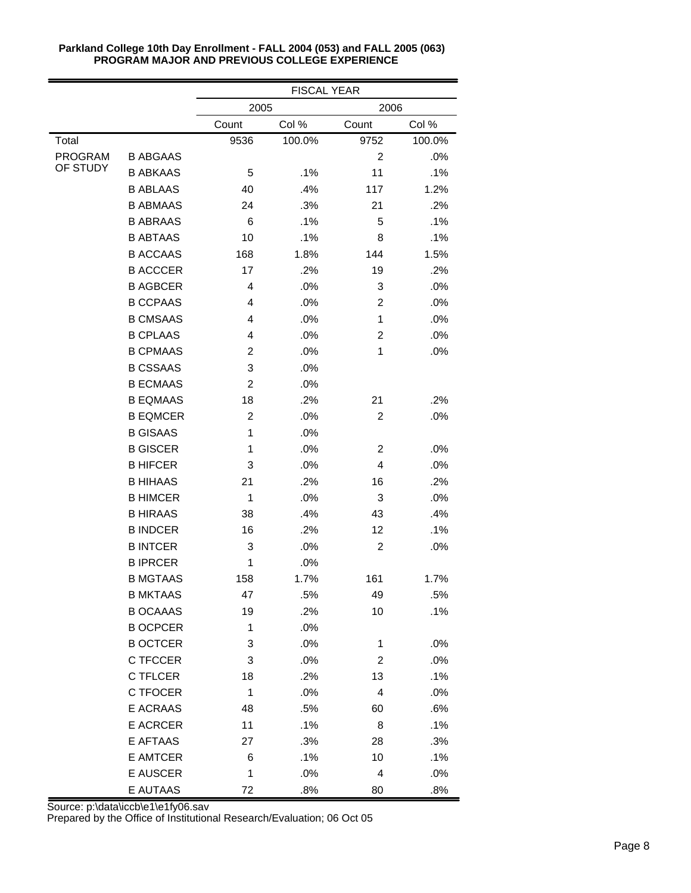|          |                 | <b>FISCAL YEAR</b> |        |                |        |
|----------|-----------------|--------------------|--------|----------------|--------|
|          |                 | 2005               |        | 2006           |        |
|          |                 | Count              | Col %  | Count          | Col %  |
| Total    |                 | 9536               | 100.0% | 9752           | 100.0% |
| PROGRAM  | <b>B ABGAAS</b> |                    |        | $\overline{2}$ | .0%    |
| OF STUDY | <b>B ABKAAS</b> | 5                  | .1%    | 11             | .1%    |
|          | <b>B ABLAAS</b> | 40                 | .4%    | 117            | 1.2%   |
|          | <b>B ABMAAS</b> | 24                 | .3%    | 21             | .2%    |
|          | <b>B ABRAAS</b> | 6                  | .1%    | 5              | .1%    |
|          | <b>B ABTAAS</b> | 10                 | .1%    | 8              | .1%    |
|          | <b>B ACCAAS</b> | 168                | 1.8%   | 144            | 1.5%   |
|          | <b>B ACCCER</b> | 17                 | .2%    | 19             | .2%    |
|          | <b>B AGBCER</b> | 4                  | .0%    | 3              | .0%    |
|          | <b>B CCPAAS</b> | 4                  | .0%    | $\overline{c}$ | .0%    |
|          | <b>B CMSAAS</b> | 4                  | .0%    | 1              | .0%    |
|          | <b>B CPLAAS</b> | 4                  | .0%    | 2              | .0%    |
|          | <b>B CPMAAS</b> | 2                  | .0%    | 1              | .0%    |
|          | <b>B CSSAAS</b> | 3                  | .0%    |                |        |
|          | <b>B ECMAAS</b> | $\overline{2}$     | .0%    |                |        |
|          | <b>B EQMAAS</b> | 18                 | .2%    | 21             | .2%    |
|          | <b>B EQMCER</b> | $\overline{2}$     | .0%    | $\overline{c}$ | .0%    |
|          | <b>B GISAAS</b> | 1                  | .0%    |                |        |
|          | <b>B GISCER</b> | 1                  | .0%    | 2              | .0%    |
|          | <b>B HIFCER</b> | 3                  | .0%    | 4              | .0%    |
|          | <b>B HIHAAS</b> | 21                 | .2%    | 16             | .2%    |
|          | <b>B HIMCER</b> | 1                  | .0%    | 3              | .0%    |
|          | <b>B HIRAAS</b> | 38                 | .4%    | 43             | .4%    |
|          | <b>B INDCER</b> | 16                 | .2%    | 12             | .1%    |
|          | <b>B INTCER</b> | 3                  | .0%    | $\overline{c}$ | .0%    |
|          | <b>BIPRCER</b>  | 1                  | .0%    |                |        |
|          | <b>B MGTAAS</b> | 158                | 1.7%   | 161            | 1.7%   |
|          | <b>B MKTAAS</b> | 47                 | .5%    | 49             | .5%    |
|          | <b>B OCAAAS</b> | 19                 | .2%    | 10             | .1%    |
|          | <b>B OCPCER</b> | 1                  | .0%    |                |        |
|          | <b>B OCTCER</b> | 3                  | .0%    | 1              | .0%    |
|          | C TFCCER        | 3                  | .0%    | $\overline{c}$ | .0%    |
|          | C TFLCER        | 18                 | .2%    | 13             | .1%    |
|          | C TFOCER        | 1                  | .0%    | 4              | .0%    |
|          | E ACRAAS        | 48                 | .5%    | 60             | .6%    |
|          | <b>E ACRCER</b> | 11                 | .1%    | 8              | .1%    |
|          | E AFTAAS        | 27                 | .3%    | 28             | .3%    |
|          | <b>E AMTCER</b> | 6                  | .1%    | 10             | .1%    |
|          | E AUSCER        | 1                  | .0%    | 4              | .0%    |
|          | E AUTAAS        | 72                 | .8%    | 80             | .8%    |

Source: p:\data\iccb\e1\e1fy06.sav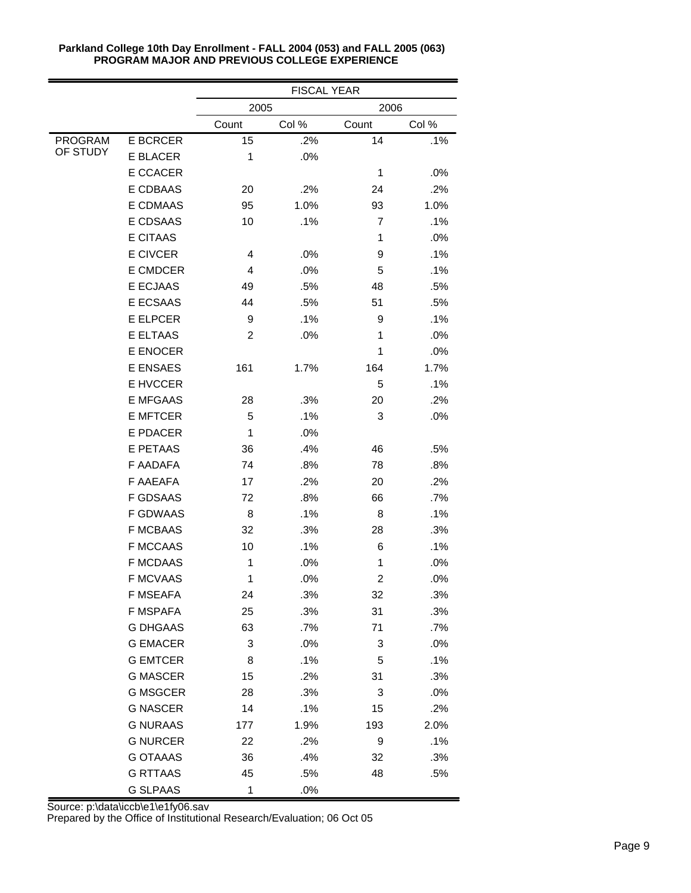|                |                 | <b>FISCAL YEAR</b> |       |                |        |
|----------------|-----------------|--------------------|-------|----------------|--------|
|                |                 | 2005               |       | 2006           |        |
|                |                 | Count              | Col % | Count          | Col %  |
| <b>PROGRAM</b> | <b>E BCRCER</b> | 15                 | .2%   | 14             | .1%    |
| OF STUDY       | <b>E BLACER</b> | 1                  | .0%   |                |        |
|                | E CCACER        |                    |       | $\mathbf{1}$   | $.0\%$ |
|                | E CDBAAS        | 20                 | .2%   | 24             | .2%    |
|                | <b>E CDMAAS</b> | 95                 | 1.0%  | 93             | 1.0%   |
|                | E CDSAAS        | 10                 | .1%   | $\overline{7}$ | .1%    |
|                | <b>E CITAAS</b> |                    |       | 1              | .0%    |
|                | <b>E CIVCER</b> | 4                  | .0%   | 9              | .1%    |
|                | E CMDCER        | 4                  | .0%   | 5              | .1%    |
|                | <b>E ECJAAS</b> | 49                 | .5%   | 48             | .5%    |
|                | E ECSAAS        | 44                 | .5%   | 51             | .5%    |
|                | <b>E ELPCER</b> | 9                  | .1%   | 9              | .1%    |
|                | <b>E ELTAAS</b> | $\overline{2}$     | .0%   | 1              | .0%    |
|                | E ENOCER        |                    |       | 1              | .0%    |
|                | E ENSAES        | 161                | 1.7%  | 164            | 1.7%   |
|                | E HVCCER        |                    |       | 5              | .1%    |
|                | <b>E MFGAAS</b> | 28                 | .3%   | 20             | .2%    |
|                | <b>E MFTCER</b> | 5                  | .1%   | 3              | .0%    |
|                | E PDACER        | 1                  | .0%   |                |        |
|                | <b>E PETAAS</b> | 36                 | .4%   | 46             | .5%    |
|                | F AADAFA        | 74                 | .8%   | 78             | .8%    |
|                | <b>F AAEAFA</b> | 17                 | .2%   | 20             | .2%    |
|                | <b>F GDSAAS</b> | 72                 | .8%   | 66             | .7%    |
|                | <b>F GDWAAS</b> | 8                  | .1%   | 8              | .1%    |
|                | <b>F MCBAAS</b> | 32                 | .3%   | 28             | .3%    |
|                | <b>F MCCAAS</b> | 10                 | .1%   | 6              | .1%    |
|                | <b>F MCDAAS</b> | $\mathbf 1$        | .0%   | 1              | .0%    |
|                | <b>F MCVAAS</b> | 1                  | .0%   | $\overline{c}$ | .0%    |
|                | <b>F MSEAFA</b> | 24                 | .3%   | 32             | .3%    |
|                | F MSPAFA        | 25                 | .3%   | 31             | .3%    |
|                | <b>G DHGAAS</b> | 63                 | .7%   | 71             | .7%    |
|                | <b>G EMACER</b> | 3                  | .0%   | 3              | .0%    |
|                | <b>G EMTCER</b> | 8                  | .1%   | 5              | .1%    |
|                | <b>G MASCER</b> | 15                 | .2%   | 31             | .3%    |
|                | <b>G MSGCER</b> | 28                 | .3%   | 3              | .0%    |
|                | <b>G NASCER</b> | 14                 | .1%   | 15             | .2%    |
|                | <b>G NURAAS</b> | 177                | 1.9%  | 193            | 2.0%   |
|                | <b>G NURCER</b> | 22                 | .2%   | 9              | .1%    |
|                | <b>G OTAAAS</b> | 36                 | .4%   | 32             | .3%    |
|                | <b>G RTTAAS</b> | 45                 | .5%   | 48             | .5%    |
|                | <b>G SLPAAS</b> | 1                  | .0%   |                |        |

Source: p:\data\iccb\e1\e1fy06.sav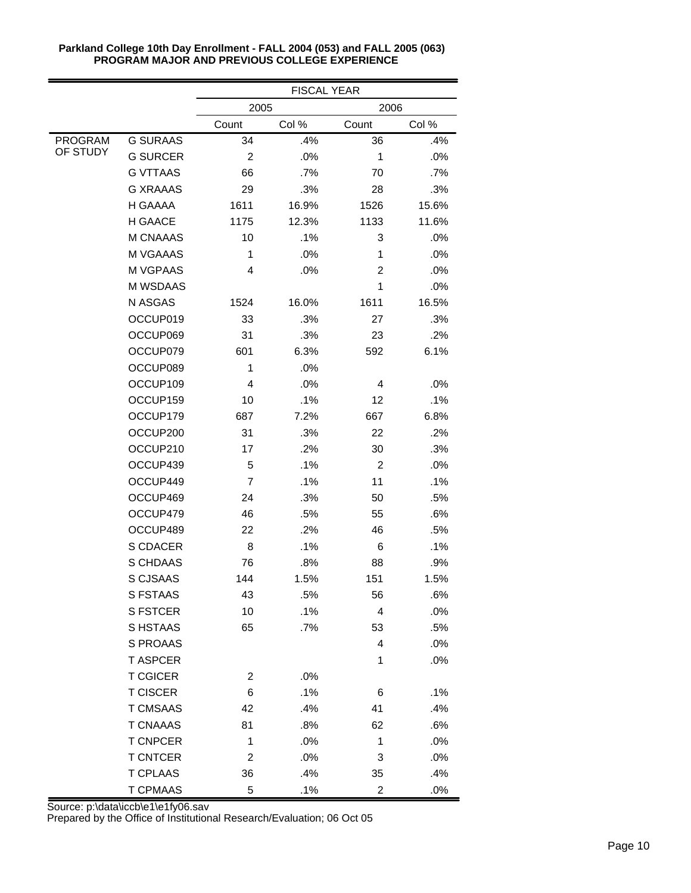|                |                 | <b>FISCAL YEAR</b> |       |                |        |  |
|----------------|-----------------|--------------------|-------|----------------|--------|--|
|                |                 | 2005               |       | 2006           |        |  |
|                |                 | Count              | Col % | Count          | Col %  |  |
| <b>PROGRAM</b> | <b>G SURAAS</b> | 34                 | .4%   | 36             | .4%    |  |
| OF STUDY       | <b>G SURCER</b> | $\overline{2}$     | .0%   | $\mathbf{1}$   | .0%    |  |
|                | <b>G VTTAAS</b> | 66                 | .7%   | 70             | $.7\%$ |  |
|                | G XRAAAS        | 29                 | .3%   | 28             | .3%    |  |
|                | H GAAAA         | 1611               | 16.9% | 1526           | 15.6%  |  |
|                | <b>H GAACE</b>  | 1175               | 12.3% | 1133           | 11.6%  |  |
|                | <b>M CNAAAS</b> | 10                 | .1%   | 3              | .0%    |  |
|                | M VGAAAS        | 1                  | .0%   | 1              | .0%    |  |
|                | M VGPAAS        | 4                  | .0%   | $\overline{2}$ | .0%    |  |
|                | M WSDAAS        |                    |       | 1              | .0%    |  |
|                | N ASGAS         | 1524               | 16.0% | 1611           | 16.5%  |  |
|                | OCCUP019        | 33                 | .3%   | 27             | .3%    |  |
|                | OCCUP069        | 31                 | .3%   | 23             | .2%    |  |
|                | OCCUP079        | 601                | 6.3%  | 592            | 6.1%   |  |
|                | OCCUP089        | 1                  | .0%   |                |        |  |
|                | OCCUP109        | 4                  | .0%   | 4              | .0%    |  |
|                | OCCUP159        | 10                 | .1%   | 12             | .1%    |  |
|                | OCCUP179        | 687                | 7.2%  | 667            | 6.8%   |  |
|                | OCCUP200        | 31                 | .3%   | 22             | .2%    |  |
|                | OCCUP210        | 17                 | .2%   | 30             | .3%    |  |
|                | OCCUP439        | 5                  | .1%   | 2              | .0%    |  |
|                | OCCUP449        | $\overline{7}$     | .1%   | 11             | .1%    |  |
|                | OCCUP469        | 24                 | .3%   | 50             | .5%    |  |
|                | OCCUP479        | 46                 | .5%   | 55             | .6%    |  |
|                | OCCUP489        | 22                 | .2%   | 46             | .5%    |  |
|                | S CDACER        | 8                  | .1%   | 6              | .1%    |  |
|                | S CHDAAS        | 76                 | .8%   | 88             | .9%    |  |
|                | S CJSAAS        | 144                | 1.5%  | 151            | 1.5%   |  |
|                | S FSTAAS        | 43                 | .5%   | 56             | .6%    |  |
|                | <b>S FSTCER</b> | 10                 | .1%   | 4              | .0%    |  |
|                | S HSTAAS        | 65                 | .7%   | 53             | .5%    |  |
|                | S PROAAS        |                    |       | 4              | .0%    |  |
|                | <b>TASPCER</b>  |                    |       | 1              | .0%    |  |
|                | <b>T CGICER</b> | 2                  | .0%   |                |        |  |
|                | <b>T CISCER</b> | 6                  | .1%   | 6              | .1%    |  |
|                | <b>T CMSAAS</b> | 42                 | .4%   | 41             | .4%    |  |
|                | <b>T CNAAAS</b> | 81                 | .8%   | 62             | .6%    |  |
|                | <b>T CNPCER</b> | 1                  | .0%   | 1              | .0%    |  |
|                | <b>T CNTCER</b> | 2                  | .0%   | 3              | .0%    |  |
|                | <b>T CPLAAS</b> | 36                 | .4%   | 35             | .4%    |  |
|                | <b>T CPMAAS</b> | 5                  | .1%   | 2              | $.0\%$ |  |

Source: p:\data\iccb\e1\e1fy06.sav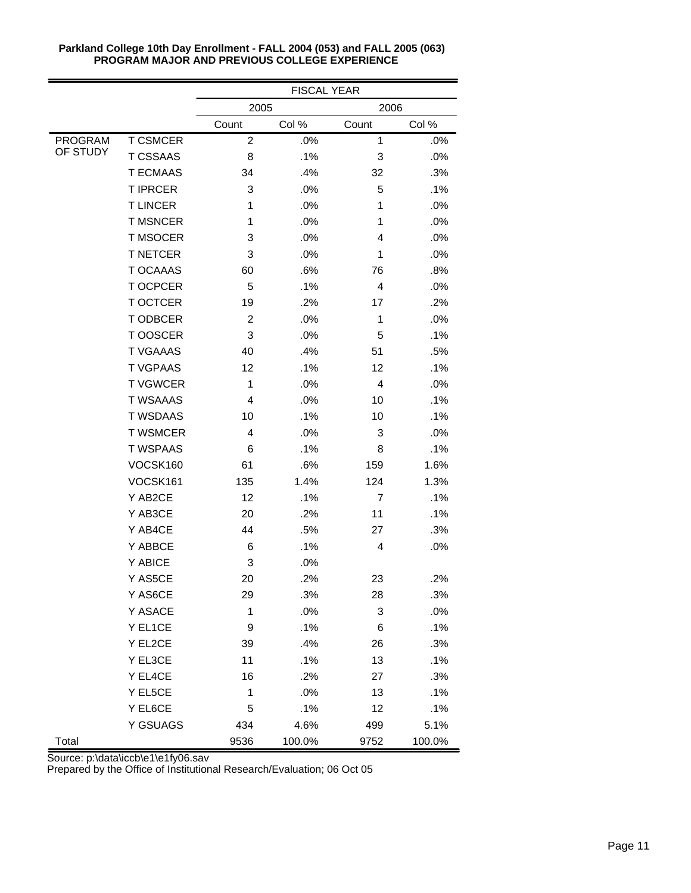|                |                 | <b>FISCAL YEAR</b> |        |                |        |  |
|----------------|-----------------|--------------------|--------|----------------|--------|--|
|                |                 | 2005               |        | 2006           |        |  |
|                |                 | Count              | Col %  | Count          | Col %  |  |
| <b>PROGRAM</b> | <b>T CSMCER</b> | $\overline{c}$     | .0%    | $\mathbf 1$    | .0%    |  |
| OF STUDY       | <b>T CSSAAS</b> | 8                  | .1%    | 3              | .0%    |  |
|                | <b>T ECMAAS</b> | 34                 | .4%    | 32             | .3%    |  |
|                | <b>T IPRCER</b> | 3                  | .0%    | 5              | .1%    |  |
|                | <b>TLINCER</b>  | 1                  | .0%    | 1              | $.0\%$ |  |
|                | <b>T MSNCER</b> | 1                  | .0%    | 1              | .0%    |  |
|                | <b>T MSOCER</b> | 3                  | .0%    | 4              | .0%    |  |
|                | <b>T NETCER</b> | 3                  | .0%    | 1              | .0%    |  |
|                | T OCAAAS        | 60                 | .6%    | 76             | .8%    |  |
|                | T OCPCER        | 5                  | .1%    | 4              | $.0\%$ |  |
|                | T OCTCER        | 19                 | .2%    | 17             | .2%    |  |
|                | T ODBCER        | $\overline{2}$     | .0%    | 1              | .0%    |  |
|                | T OOSCER        | 3                  | .0%    | 5              | .1%    |  |
|                | <b>T VGAAAS</b> | 40                 | .4%    | 51             | .5%    |  |
|                | <b>T VGPAAS</b> | 12                 | .1%    | 12             | .1%    |  |
|                | <b>TVGWCER</b>  | 1                  | .0%    | $\overline{4}$ | .0%    |  |
|                | <b>T WSAAAS</b> | 4                  | .0%    | 10             | .1%    |  |
|                | <b>T WSDAAS</b> | 10                 | .1%    | 10             | .1%    |  |
|                | <b>T WSMCER</b> | 4                  | .0%    | 3              | .0%    |  |
|                | <b>T WSPAAS</b> | 6                  | .1%    | 8              | .1%    |  |
|                | VOCSK160        | 61                 | .6%    | 159            | 1.6%   |  |
|                | VOCSK161        | 135                | 1.4%   | 124            | 1.3%   |  |
|                | Y AB2CE         | 12                 | .1%    | $\overline{7}$ | .1%    |  |
|                | Y AB3CE         | 20                 | .2%    | 11             | .1%    |  |
|                | Y AB4CE         | 44                 | .5%    | 27             | .3%    |  |
|                | Y ABBCE         | 6                  | .1%    | 4              | .0%    |  |
|                | Y ABICE         | 3                  | .0%    |                |        |  |
|                | Y AS5CE         | 20                 | .2%    | 23             | .2%    |  |
|                | Y AS6CE         | 29                 | .3%    | 28             | .3%    |  |
|                | Y ASACE         | 1                  | .0%    | 3              | .0%    |  |
|                | Y EL1CE         | 9                  | .1%    | 6              | .1%    |  |
|                | Y EL2CE         | 39                 | .4%    | 26             | .3%    |  |
|                | Y EL3CE         | 11                 | .1%    | 13             | .1%    |  |
|                | Y EL4CE         | 16                 | .2%    | 27             | .3%    |  |
|                | Y EL5CE         | 1                  | .0%    | 13             | .1%    |  |
|                | Y EL6CE         | 5                  | .1%    | 12             | .1%    |  |
|                | Y GSUAGS        | 434                | 4.6%   | 499            | 5.1%   |  |
| Total          |                 | 9536               | 100.0% | 9752           | 100.0% |  |

Source: p:\data\iccb\e1\e1fy06.sav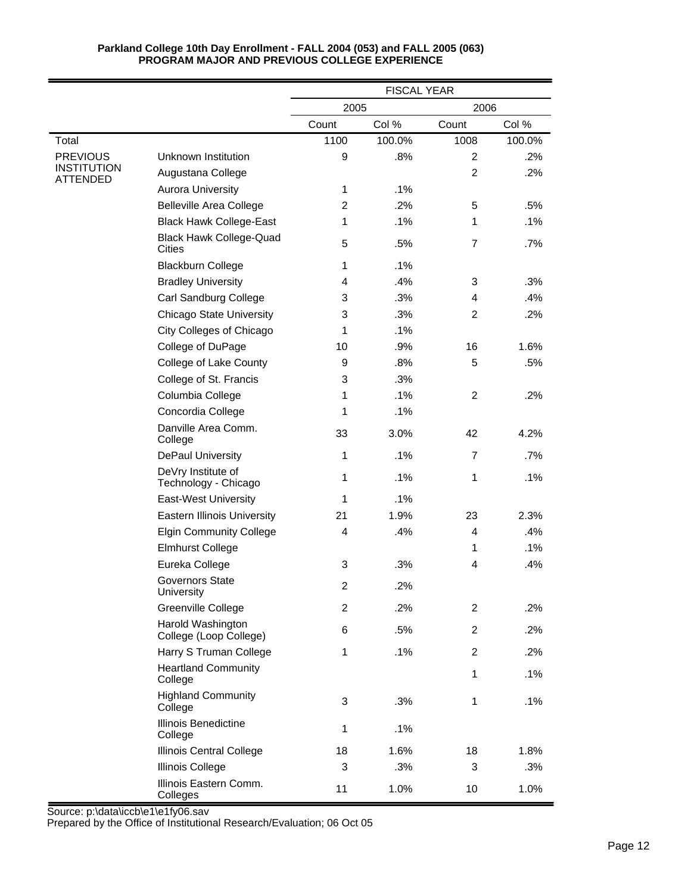|                                |                                             | <b>FISCAL YEAR</b> |        |                |        |
|--------------------------------|---------------------------------------------|--------------------|--------|----------------|--------|
|                                |                                             | 2005               |        | 2006           |        |
|                                |                                             | Count              | Col %  | Count          | Col %  |
| Total                          |                                             | 1100               | 100.0% | 1008           | 100.0% |
| <b>PREVIOUS</b>                | Unknown Institution                         | 9                  | .8%    | $\overline{2}$ | .2%    |
| <b>INSTITUTION</b><br>ATTENDED | Augustana College                           |                    |        | $\overline{2}$ | .2%    |
|                                | <b>Aurora University</b>                    | $\mathbf{1}$       | .1%    |                |        |
|                                | <b>Belleville Area College</b>              | $\overline{2}$     | .2%    | 5              | .5%    |
|                                | <b>Black Hawk College-East</b>              | 1                  | .1%    | 1              | .1%    |
|                                | <b>Black Hawk College-Quad</b><br>Cities    | 5                  | .5%    | $\overline{7}$ | $.7\%$ |
|                                | <b>Blackburn College</b>                    | $\mathbf{1}$       | .1%    |                |        |
|                                | <b>Bradley University</b>                   | 4                  | .4%    | 3              | .3%    |
|                                | Carl Sandburg College                       | 3                  | .3%    | 4              | .4%    |
|                                | <b>Chicago State University</b>             | 3                  | .3%    | $\overline{2}$ | .2%    |
|                                | <b>City Colleges of Chicago</b>             | 1                  | .1%    |                |        |
|                                | College of DuPage                           | 10                 | .9%    | 16             | 1.6%   |
|                                | College of Lake County                      | 9                  | .8%    | 5              | .5%    |
|                                | College of St. Francis                      | 3                  | .3%    |                |        |
|                                | Columbia College                            | 1                  | .1%    | $\overline{2}$ | .2%    |
|                                | Concordia College                           | 1                  | .1%    |                |        |
|                                | Danville Area Comm.<br>College              | 33                 | 3.0%   | 42             | 4.2%   |
|                                | <b>DePaul University</b>                    | $\mathbf{1}$       | .1%    | $\overline{7}$ | $.7\%$ |
|                                | DeVry Institute of<br>Technology - Chicago  | $\mathbf{1}$       | .1%    | 1              | $.1\%$ |
|                                | <b>East-West University</b>                 | 1                  | .1%    |                |        |
|                                | <b>Eastern Illinois University</b>          | 21                 | 1.9%   | 23             | 2.3%   |
|                                | <b>Elgin Community College</b>              | $\overline{4}$     | .4%    | 4              | .4%    |
|                                | <b>Elmhurst College</b>                     |                    |        | 1              | .1%    |
|                                | Eureka College                              | 3                  | .3%    | 4              | .4%    |
|                                | <b>Governors State</b><br>University        | $\boldsymbol{2}$   | .2%    |                |        |
|                                | Greenville College                          | $\overline{c}$     | .2%    | $\overline{2}$ | $.2\%$ |
|                                | Harold Washington<br>College (Loop College) | 6                  | .5%    | $\overline{2}$ | .2%    |
|                                | Harry S Truman College                      | 1                  | .1%    | $\overline{2}$ | .2%    |
|                                | <b>Heartland Community</b><br>College       |                    |        | 1              | .1%    |
|                                | <b>Highland Community</b><br>College        | 3                  | .3%    | 1              | .1%    |
|                                | Illinois Benedictine<br>College             | $\mathbf{1}$       | .1%    |                |        |
|                                | Illinois Central College                    | 18                 | 1.6%   | 18             | 1.8%   |
|                                | <b>Illinois College</b>                     | 3                  | .3%    | 3              | .3%    |
|                                | Illinois Eastern Comm.<br>Colleges          | 11                 | 1.0%   | 10             | 1.0%   |

Source: p:\data\iccb\e1\e1fy06.sav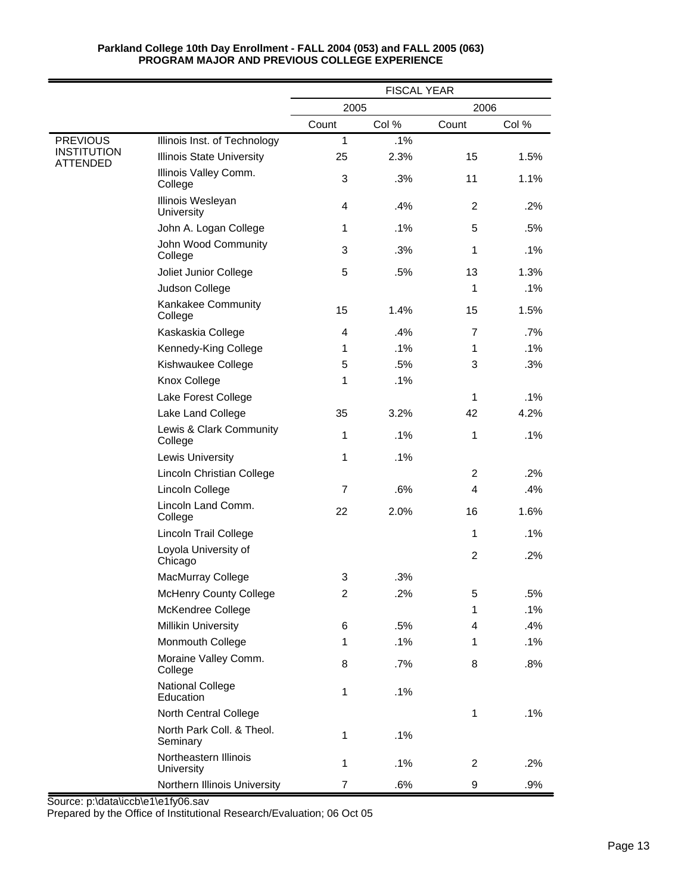|                                                   |                                       | <b>FISCAL YEAR</b> |       |                |        |
|---------------------------------------------------|---------------------------------------|--------------------|-------|----------------|--------|
|                                                   |                                       | 2005               |       | 2006           |        |
|                                                   |                                       | Count              | Col % | Count          | Col %  |
| <b>PREVIOUS</b><br><b>INSTITUTION</b><br>ATTENDED | Illinois Inst. of Technology          | 1                  | .1%   |                |        |
|                                                   | <b>Illinois State University</b>      | 25                 | 2.3%  | 15             | 1.5%   |
|                                                   | Illinois Valley Comm.<br>College      | 3                  | .3%   | 11             | 1.1%   |
|                                                   | Illinois Wesleyan<br>University       | $\overline{4}$     | .4%   | 2              | .2%    |
|                                                   | John A. Logan College                 | 1                  | .1%   | 5              | .5%    |
|                                                   | John Wood Community<br>College        | 3                  | .3%   | 1              | .1%    |
|                                                   | Joliet Junior College                 | 5                  | .5%   | 13             | 1.3%   |
|                                                   | Judson College                        |                    |       | 1              | .1%    |
|                                                   | Kankakee Community<br>College         | 15                 | 1.4%  | 15             | 1.5%   |
|                                                   | Kaskaskia College                     | 4                  | .4%   | $\overline{7}$ | .7%    |
|                                                   | Kennedy-King College                  | 1                  | .1%   | 1              | .1%    |
|                                                   | Kishwaukee College                    | 5                  | .5%   | 3              | .3%    |
|                                                   | Knox College                          | 1                  | .1%   |                |        |
|                                                   | Lake Forest College                   |                    |       | 1              | .1%    |
|                                                   | Lake Land College                     | 35                 | 3.2%  | 42             | 4.2%   |
|                                                   | Lewis & Clark Community<br>College    | 1                  | .1%   | 1              | $.1\%$ |
|                                                   | Lewis University                      | 1                  | .1%   |                |        |
|                                                   | Lincoln Christian College             |                    |       | 2              | .2%    |
|                                                   | Lincoln College                       | 7                  | .6%   | 4              | .4%    |
|                                                   | Lincoln Land Comm.<br>College         | 22                 | 2.0%  | 16             | 1.6%   |
|                                                   | <b>Lincoln Trail College</b>          |                    |       | 1              | .1%    |
|                                                   | Loyola University of<br>Chicago       |                    |       | 2              | .2%    |
|                                                   | MacMurray College                     | 3                  | .3%   |                |        |
|                                                   | <b>McHenry County College</b>         | 2                  | .2%   | 5              | .5%    |
|                                                   | McKendree College                     |                    |       | 1              | .1%    |
|                                                   | <b>Millikin University</b>            | 6                  | .5%   | 4              | .4%    |
|                                                   | Monmouth College                      | 1                  | .1%   | 1              | .1%    |
|                                                   | Moraine Valley Comm.<br>College       | 8                  | .7%   | 8              | .8%    |
|                                                   | <b>National College</b><br>Education  | 1                  | .1%   |                |        |
|                                                   | North Central College                 |                    |       | 1              | .1%    |
|                                                   | North Park Coll. & Theol.<br>Seminary | 1                  | .1%   |                |        |
|                                                   | Northeastern Illinois<br>University   | 1                  | .1%   | $\overline{2}$ | .2%    |
|                                                   | Northern Illinois University          | $\overline{7}$     | .6%   | 9              | .9%    |

Source: p:\data\iccb\e1\e1fy06.sav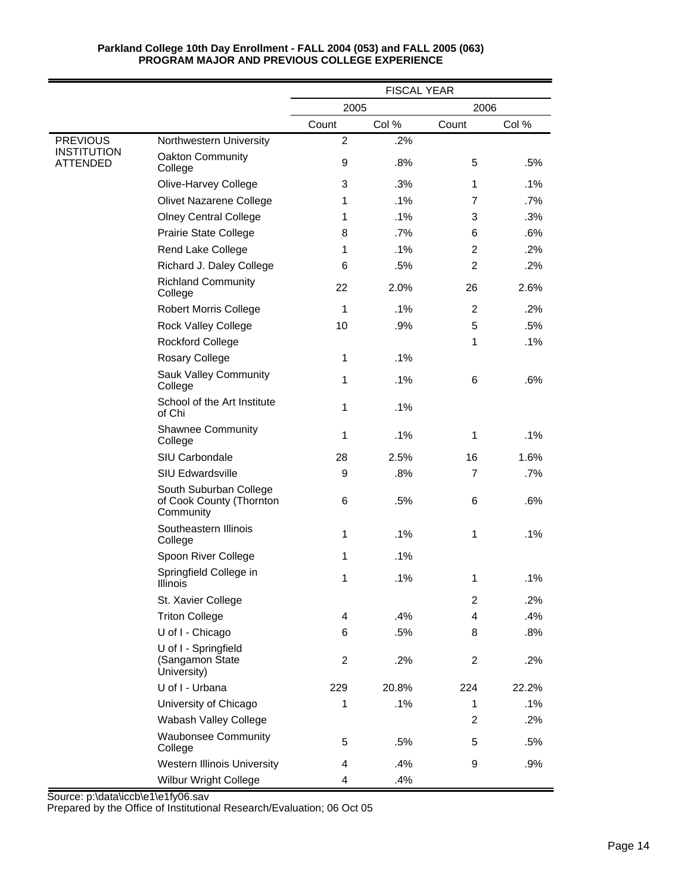|                                |                                                                 | <b>FISCAL YEAR</b> |       |                |       |
|--------------------------------|-----------------------------------------------------------------|--------------------|-------|----------------|-------|
|                                |                                                                 | 2005<br>2006       |       |                |       |
|                                |                                                                 | Count              | Col % | Count          | Col % |
| <b>PREVIOUS</b>                | Northwestern University                                         | $\overline{2}$     | .2%   |                |       |
| <b>INSTITUTION</b><br>ATTENDED | Oakton Community<br>College                                     | 9                  | .8%   | 5              | .5%   |
|                                | Olive-Harvey College                                            | 3                  | .3%   | 1              | .1%   |
|                                | Olivet Nazarene College                                         | 1                  | .1%   | 7              | .7%   |
|                                | <b>Olney Central College</b>                                    | 1                  | .1%   | 3              | .3%   |
|                                | Prairie State College                                           | 8                  | .7%   | 6              | .6%   |
|                                | Rend Lake College                                               | $\mathbf 1$        | .1%   | $\overline{2}$ | .2%   |
|                                | Richard J. Daley College                                        | 6                  | .5%   | 2              | .2%   |
|                                | <b>Richland Community</b><br>College                            | 22                 | 2.0%  | 26             | 2.6%  |
|                                | <b>Robert Morris College</b>                                    | $\mathbf 1$        | .1%   | $\overline{2}$ | .2%   |
|                                | <b>Rock Valley College</b>                                      | 10                 | .9%   | 5              | .5%   |
|                                | <b>Rockford College</b>                                         |                    |       | 1              | .1%   |
|                                | Rosary College                                                  | $\mathbf{1}$       | .1%   |                |       |
|                                | <b>Sauk Valley Community</b><br>College                         | $\mathbf{1}$       | .1%   | 6              | .6%   |
|                                | School of the Art Institute<br>of Chi                           | 1                  | .1%   |                |       |
|                                | <b>Shawnee Community</b><br>College                             | 1                  | .1%   | 1              | .1%   |
|                                | SIU Carbondale                                                  | 28                 | 2.5%  | 16             | 1.6%  |
|                                | <b>SIU Edwardsville</b>                                         | 9                  | .8%   | $\overline{7}$ | .7%   |
|                                | South Suburban College<br>of Cook County (Thornton<br>Community | 6                  | .5%   | 6              | .6%   |
|                                | Southeastern Illinois<br>College                                | $\mathbf{1}$       | .1%   | 1              | .1%   |
|                                | Spoon River College                                             | $\mathbf{1}$       | .1%   |                |       |
|                                | Springfield College in<br>Illinois                              | $\mathbf{1}$       | .1%   | 1              | .1%   |
|                                | St. Xavier College                                              |                    |       | 2              | .2%   |
|                                | <b>Triton College</b>                                           | 4                  | .4%   | 4              | .4%   |
|                                | U of I - Chicago                                                | 6                  | .5%   | 8              | .8%   |
|                                | U of I - Springfield<br>(Sangamon State<br>University)          | $\overline{c}$     | .2%   | $\overline{c}$ | .2%   |
|                                | U of I - Urbana                                                 | 229                | 20.8% | 224            | 22.2% |
|                                | University of Chicago                                           | $\mathbf{1}$       | .1%   | 1              | .1%   |
|                                | Wabash Valley College                                           |                    |       | 2              | .2%   |
|                                | <b>Waubonsee Community</b><br>College                           | 5                  | .5%   | 5              | .5%   |
|                                | <b>Western Illinois University</b>                              | 4                  | .4%   | 9              | .9%   |
|                                | <b>Wilbur Wright College</b>                                    | 4                  | .4%   |                |       |

Source: p:\data\iccb\e1\e1fy06.sav